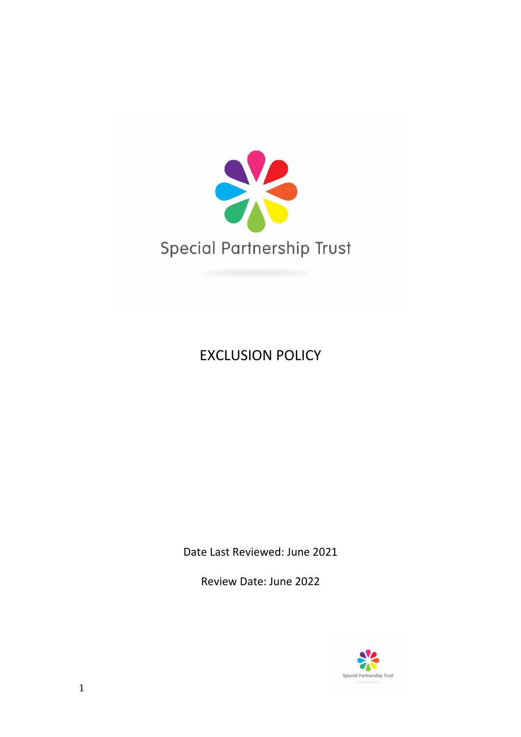

# EXCLUSION POLICY

Date Last Reviewed: June 2021

Review Date: June 2022

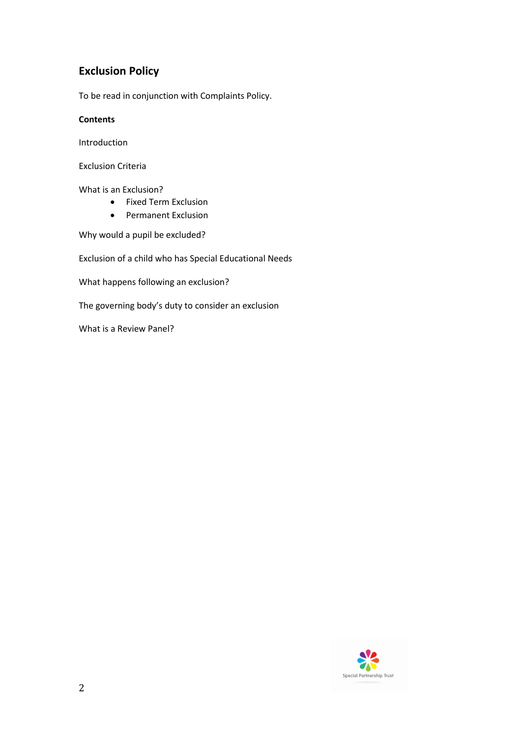# **Exclusion Policy**

To be read in conjunction with Complaints Policy.

# **Contents**

Introduction

Exclusion Criteria

What is an Exclusion?

- Fixed Term Exclusion
- Permanent Exclusion

Why would a pupil be excluded?

Exclusion of a child who has Special Educational Needs

What happens following an exclusion?

The governing body's duty to consider an exclusion

What is a Review Panel?

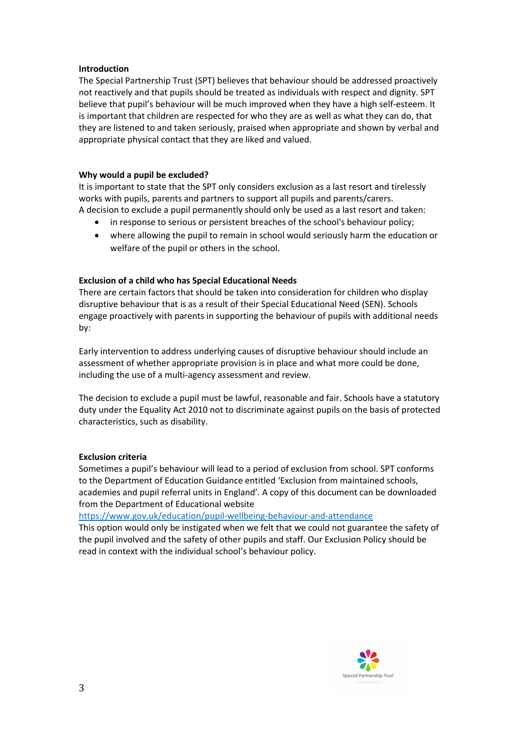### **Introduction**

The Special Partnership Trust (SPT) believes that behaviour should be addressed proactively not reactively and that pupils should be treated as individuals with respect and dignity. SPT believe that pupil's behaviour will be much improved when they have a high self-esteem. It is important that children are respected for who they are as well as what they can do, that they are listened to and taken seriously, praised when appropriate and shown by verbal and appropriate physical contact that they are liked and valued.

# **Why would a pupil be excluded?**

It is important to state that the SPT only considers exclusion as a last resort and tirelessly works with pupils, parents and partners to support all pupils and parents/carers. A decision to exclude a pupil permanently should only be used as a last resort and taken:

- in response to serious or persistent breaches of the school's behaviour policy;
- where allowing the pupil to remain in school would seriously harm the education or welfare of the pupil or others in the school.

# **Exclusion of a child who has Special Educational Needs**

There are certain factors that should be taken into consideration for children who display disruptive behaviour that is as a result of their Special Educational Need (SEN). Schools engage proactively with parents in supporting the behaviour of pupils with additional needs by:

Early intervention to address underlying causes of disruptive behaviour should include an assessment of whether appropriate provision is in place and what more could be done, including the use of a multi-agency assessment and review.

The decision to exclude a pupil must be lawful, reasonable and fair. Schools have a statutory duty under the Equality Act 2010 not to discriminate against pupils on the basis of protected characteristics, such as disability.

#### **Exclusion criteria**

Sometimes a pupil's behaviour will lead to a period of exclusion from school. SPT conforms to the Department of Education Guidance entitled 'Exclusion from maintained schools, academies and pupil referral units in England'. A copy of this document can be downloaded from the Department of Educational website

https://www.gov.uk/education/pupil-wellbeing-behaviour-and-attendance

This option would only be instigated when we felt that we could not guarantee the safety of the pupil involved and the safety of other pupils and staff. Our Exclusion Policy should be read in context with the individual school's behaviour policy.

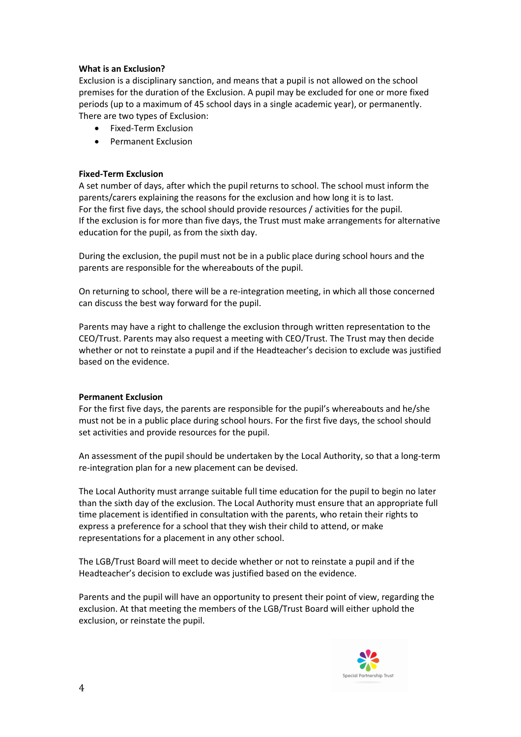# **What is an Exclusion?**

Exclusion is a disciplinary sanction, and means that a pupil is not allowed on the school premises for the duration of the Exclusion. A pupil may be excluded for one or more fixed periods (up to a maximum of 45 school days in a single academic year), or permanently. There are two types of Exclusion:

- Fixed-Term Exclusion
- Permanent Exclusion

#### **Fixed-Term Exclusion**

A set number of days, after which the pupil returns to school. The school must inform the parents/carers explaining the reasons for the exclusion and how long it is to last. For the first five days, the school should provide resources / activities for the pupil. If the exclusion is for more than five days, the Trust must make arrangements for alternative education for the pupil, as from the sixth day.

During the exclusion, the pupil must not be in a public place during school hours and the parents are responsible for the whereabouts of the pupil.

On returning to school, there will be a re-integration meeting, in which all those concerned can discuss the best way forward for the pupil.

Parents may have a right to challenge the exclusion through written representation to the CEO/Trust. Parents may also request a meeting with CEO/Trust. The Trust may then decide whether or not to reinstate a pupil and if the Headteacher's decision to exclude was justified based on the evidence.

#### **Permanent Exclusion**

For the first five days, the parents are responsible for the pupil's whereabouts and he/she must not be in a public place during school hours. For the first five days, the school should set activities and provide resources for the pupil.

An assessment of the pupil should be undertaken by the Local Authority, so that a long-term re-integration plan for a new placement can be devised.

The Local Authority must arrange suitable full time education for the pupil to begin no later than the sixth day of the exclusion. The Local Authority must ensure that an appropriate full time placement is identified in consultation with the parents, who retain their rights to express a preference for a school that they wish their child to attend, or make representations for a placement in any other school.

The LGB/Trust Board will meet to decide whether or not to reinstate a pupil and if the Headteacher's decision to exclude was justified based on the evidence.

Parents and the pupil will have an opportunity to present their point of view, regarding the exclusion. At that meeting the members of the LGB/Trust Board will either uphold the exclusion, or reinstate the pupil.